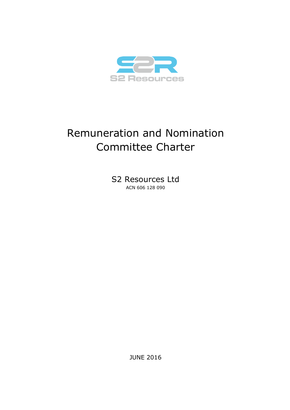

# Remuneration and Nomination Committee Charter

S2 Resources Ltd ACN 606 128 090

JUNE 2016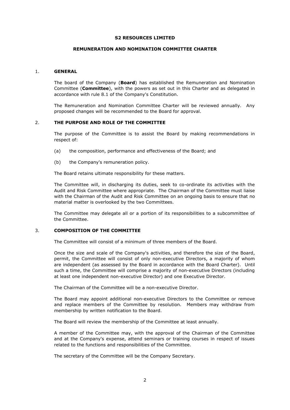## **S2 RESOURCES LIMITED**

## **REMUNERATION AND NOMINATION COMMITTEE CHARTER**

### 1. **GENERAL**

The board of the Company (**Board**) has established the Remuneration and Nomination Committee (**Committee**), with the powers as set out in this Charter and as delegated in accordance with rule 8.1 of the Company's Constitution.

The Remuneration and Nomination Committee Charter will be reviewed annually. Any proposed changes will be recommended to the Board for approval.

## 2. **THE PURPOSE AND ROLE OF THE COMMITTEE**

The purpose of the Committee is to assist the Board by making recommendations in respect of:

- (a) the composition, performance and effectiveness of the Board; and
- (b) the Company's remuneration policy.

The Board retains ultimate responsibility for these matters.

The Committee will, in discharging its duties, seek to co-ordinate its activities with the Audit and Risk Committee where appropriate. The Chairman of the Committee must liaise with the Chairman of the Audit and Risk Committee on an ongoing basis to ensure that no material matter is overlooked by the two Committees.

The Committee may delegate all or a portion of its responsibilities to a subcommittee of the Committee.

## 3. **COMPOSITION OF THE COMMITTEE**

The Committee will consist of a minimum of three members of the Board.

Once the size and scale of the Company's activities, and therefore the size of the Board, permit, the Committee will consist of only non-executive Directors, a majority of whom are independent (as assessed by the Board in accordance with the Board Charter). Until such a time, the Committee will comprise a majority of non-executive Directors (including at least one independent non-executive Director) and one Executive Director.

The Chairman of the Committee will be a non-executive Director.

The Board may appoint additional non-executive Directors to the Committee or remove and replace members of the Committee by resolution. Members may withdraw from membership by written notification to the Board.

The Board will review the membership of the Committee at least annually.

A member of the Committee may, with the approval of the Chairman of the Committee and at the Company's expense, attend seminars or training courses in respect of issues related to the functions and responsibilities of the Committee.

The secretary of the Committee will be the Company Secretary.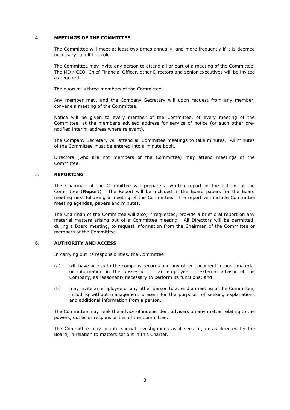## 4. **MEETINGS OF THE COMMITTEE**

The Committee will meet at least two times annually, and more frequently if it is deemed necessary to fulfil its role.

The Committee may invite any person to attend all or part of a meeting of the Committee. The MD / CEO, Chief Financial Officer, other Directors and senior executives will be invited as required.

The quorum is three members of the Committee.

Any member may, and the Company Secretary will upon request from any member, convene a meeting of the Committee.

Notice will be given to every member of the Committee, of every meeting of the Committee, at the member's advised address for service of notice (or such other prenotified interim address where relevant).

The Company Secretary will attend all Committee meetings to take minutes. All minutes of the Committee must be entered into a minute book.

Directors (who are not members of the Committee) may attend meetings of the Committee.

# 5. **REPORTING**

The Chairman of the Committee will prepare a written report of the actions of the Committee (**Report**). The Report will be included in the Board papers for the Board meeting next following a meeting of the Committee. The report will include Committee meeting agendas, papers and minutes.

The Chairman of the Committee will also, if requested, provide a brief oral report on any material matters arising out of a Committee meeting. All Directors will be permitted, during a Board meeting, to request information from the Chairman of the Committee or members of the Committee.

#### 6. **AUTHORITY AND ACCESS**

In carrying out its responsibilities, the Committee:

- (a) will have access to the company records and any other document, report, material or information in the possession of an employee or external advisor of the Company, as reasonably necessary to perform its functions; and
- (b) may invite an employee or any other person to attend a meeting of the Committee, including without management present for the purposes of seeking explanations and additional information from a person.

The Committee may seek the advice of independent advisers on any matter relating to the powers, duties or responsibilities of the Committee.

The Committee may initiate special investigations as it sees fit, or as directed by the Board, in relation to matters set out in this Charter.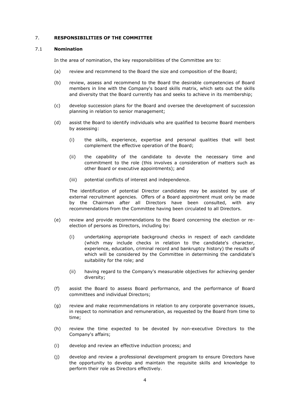## 7. **RESPONSIBILITIES OF THE COMMITTEE**

#### 7.1 **Nomination**

In the area of nomination, the key responsibilities of the Committee are to:

- (a) review and recommend to the Board the size and composition of the Board;
- (b) review, assess and recommend to the Board the desirable competencies of Board members in line with the Company's board skills matrix, which sets out the skills and diversity that the Board currently has and seeks to achieve in its membership;
- (c) develop succession plans for the Board and oversee the development of succession planning in relation to senior management;
- (d) assist the Board to identify individuals who are qualified to become Board members by assessing:
	- (i) the skills, experience, expertise and personal qualities that will best complement the effective operation of the Board;
	- (ii) the capability of the candidate to devote the necessary time and commitment to the role (this involves a consideration of matters such as other Board or executive appointments); and
	- (iii) potential conflicts of interest and independence.

The identification of potential Director candidates may be assisted by use of external recruitment agencies. Offers of a Board appointment must only be made by the Chairman after all Directors have been consulted, with any recommendations from the Committee having been circulated to all Directors.

- (e) review and provide recommendations to the Board concerning the election or reelection of persons as Directors, including by:
	- (i) undertaking appropriate background checks in respect of each candidate (which may include checks in relation to the candidate's character, experience, education, criminal record and bankruptcy history) the results of which will be considered by the Committee in determining the candidate's suitability for the role; and
	- (ii) having regard to the Company's measurable objectives for achieving gender diversity;
- (f) assist the Board to assess Board performance, and the performance of Board committees and individual Directors;
- (g) review and make recommendations in relation to any corporate governance issues, in respect to nomination and remuneration, as requested by the Board from time to time;
- (h) review the time expected to be devoted by non-executive Directors to the Company's affairs;
- (i) develop and review an effective induction process; and
- (j) develop and review a professional development program to ensure Directors have the opportunity to develop and maintain the requisite skills and knowledge to perform their role as Directors effectively.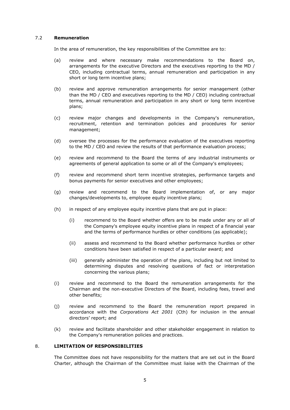# 7.2 **Remuneration**

In the area of remuneration, the key responsibilities of the Committee are to:

- (a) review and where necessary make recommendations to the Board on, arrangements for the executive Directors and the executives reporting to the MD / CEO, including contractual terms, annual remuneration and participation in any short or long term incentive plans;
- (b) review and approve remuneration arrangements for senior management (other than the MD / CEO and executives reporting to the MD / CEO) including contractual terms, annual remuneration and participation in any short or long term incentive plans;
- (c) review major changes and developments in the Company's remuneration, recruitment, retention and termination policies and procedures for senior management;
- (d) oversee the processes for the performance evaluation of the executives reporting to the MD / CEO and review the results of that performance evaluation process;
- (e) review and recommend to the Board the terms of any industrial instruments or agreements of general application to some or all of the Company's employees;
- (f) review and recommend short term incentive strategies, performance targets and bonus payments for senior executives and other employees;
- (g) review and recommend to the Board implementation of, or any major changes/developments to, employee equity incentive plans;
- (h) in respect of any employee equity incentive plans that are put in place:
	- (i) recommend to the Board whether offers are to be made under any or all of the Company's employee equity incentive plans in respect of a financial year and the terms of performance hurdles or other conditions (as applicable);
	- (ii) assess and recommend to the Board whether performance hurdles or other conditions have been satisfied in respect of a particular award; and
	- (iii) generally administer the operation of the plans, including but not limited to determining disputes and resolving questions of fact or interpretation concerning the various plans;
- (i) review and recommend to the Board the remuneration arrangements for the Chairman and the non-executive Directors of the Board, including fees, travel and other benefits;
- (j) review and recommend to the Board the remuneration report prepared in accordance with the *Corporations Act 2001* (Cth) for inclusion in the annual directors' report; and
- (k) review and facilitate shareholder and other stakeholder engagement in relation to the Company's remuneration policies and practices.

## 8. **LIMITATION OF RESPONSIBILITIES**

The Committee does not have responsibility for the matters that are set out in the Board Charter, although the Chairman of the Committee must liaise with the Chairman of the